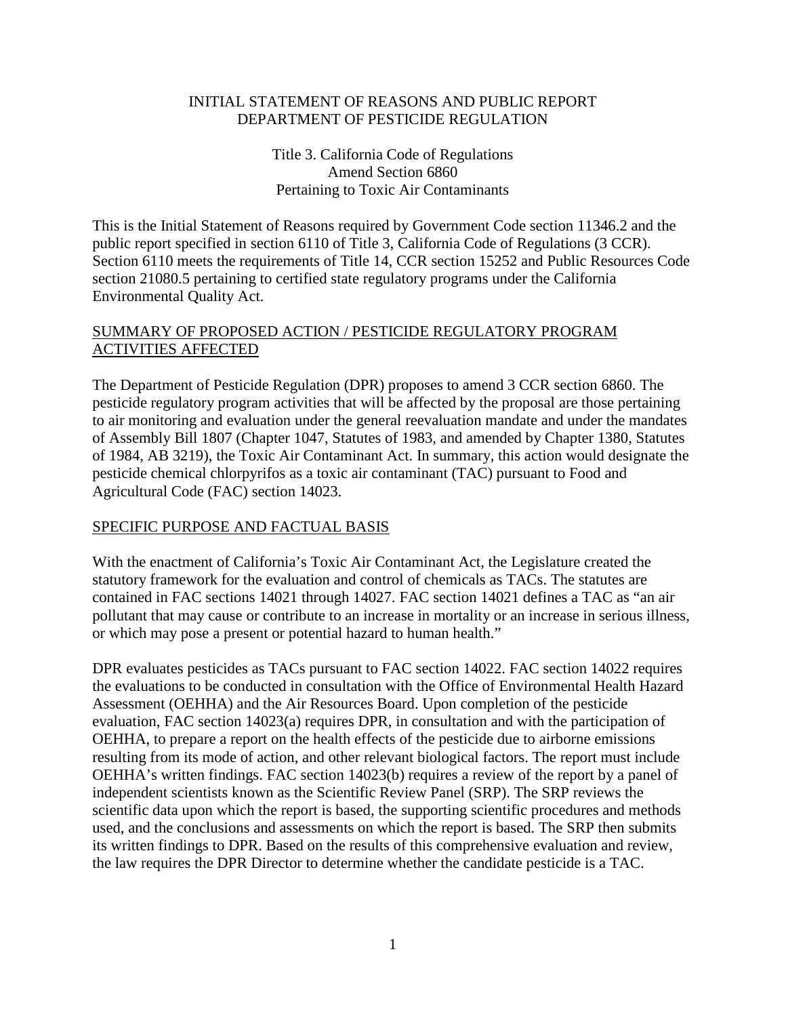#### INITIAL STATEMENT OF REASONS AND PUBLIC REPORT DEPARTMENT OF PESTICIDE REGULATION

Title 3. California Code of Regulations Amend Section 6860 Pertaining to Toxic Air Contaminants

This is the Initial Statement of Reasons required by Government Code section 11346.2 and the public report specified in section 6110 of Title 3, California Code of Regulations (3 CCR). Section 6110 meets the requirements of Title 14, CCR section 15252 and Public Resources Code section 21080.5 pertaining to certified state regulatory programs under the California Environmental Quality Act.

## SUMMARY OF PROPOSED ACTION / PESTICIDE REGULATORY PROGRAM ACTIVITIES AFFECTED

The Department of Pesticide Regulation (DPR) proposes to amend 3 CCR section 6860. The pesticide regulatory program activities that will be affected by the proposal are those pertaining to air monitoring and evaluation under the general reevaluation mandate and under the mandates of Assembly Bill 1807 (Chapter 1047, Statutes of 1983, and amended by Chapter 1380, Statutes of 1984, AB 3219), the Toxic Air Contaminant Act. In summary, this action would designate the pesticide chemical chlorpyrifos as a toxic air contaminant (TAC) pursuant to Food and Agricultural Code (FAC) section 14023.

# SPECIFIC PURPOSE AND FACTUAL BASIS

With the enactment of California's Toxic Air Contaminant Act, the Legislature created the statutory framework for the evaluation and control of chemicals as TACs. The statutes are contained in FAC sections 14021 through 14027. FAC section 14021 defines a TAC as "an air pollutant that may cause or contribute to an increase in mortality or an increase in serious illness, or which may pose a present or potential hazard to human health."

DPR evaluates pesticides as TACs pursuant to FAC section 14022. FAC section 14022 requires the evaluations to be conducted in consultation with the Office of Environmental Health Hazard Assessment (OEHHA) and the Air Resources Board. Upon completion of the pesticide evaluation, FAC section 14023(a) requires DPR, in consultation and with the participation of OEHHA, to prepare a report on the health effects of the pesticide due to airborne emissions resulting from its mode of action, and other relevant biological factors. The report must include OEHHA's written findings. FAC section 14023(b) requires a review of the report by a panel of independent scientists known as the Scientific Review Panel (SRP). The SRP reviews the scientific data upon which the report is based, the supporting scientific procedures and methods used, and the conclusions and assessments on which the report is based. The SRP then submits its written findings to DPR. Based on the results of this comprehensive evaluation and review, the law requires the DPR Director to determine whether the candidate pesticide is a TAC.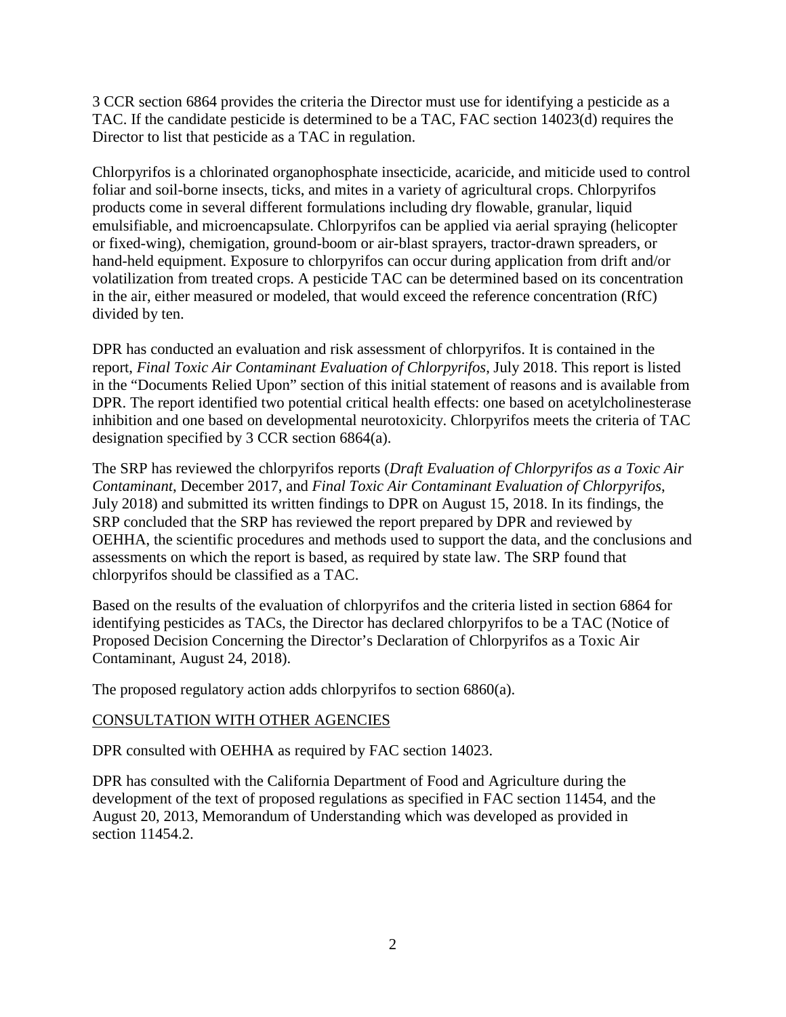3 CCR section 6864 provides the criteria the Director must use for identifying a pesticide as a TAC. If the candidate pesticide is determined to be a TAC, FAC section 14023(d) requires the Director to list that pesticide as a TAC in regulation.

Chlorpyrifos is a chlorinated organophosphate insecticide, acaricide, and miticide used to control foliar and soil-borne insects, ticks, and mites in a variety of agricultural crops. Chlorpyrifos products come in several different formulations including dry flowable, granular, liquid emulsifiable, and microencapsulate. Chlorpyrifos can be applied via aerial spraying (helicopter or fixed-wing), chemigation, ground-boom or air-blast sprayers, tractor-drawn spreaders, or hand-held equipment. Exposure to chlorpyrifos can occur during application from drift and/or volatilization from treated crops. A pesticide TAC can be determined based on its concentration in the air, either measured or modeled, that would exceed the reference concentration (RfC) divided by ten.

DPR has conducted an evaluation and risk assessment of chlorpyrifos. It is contained in the report, *Final Toxic Air Contaminant Evaluation of Chlorpyrifos*, July 2018. This report is listed in the "Documents Relied Upon" section of this initial statement of reasons and is available from DPR. The report identified two potential critical health effects: one based on acetylcholinesterase inhibition and one based on developmental neurotoxicity. Chlorpyrifos meets the criteria of TAC designation specified by 3 CCR section 6864(a).

The SRP has reviewed the chlorpyrifos reports (*Draft Evaluation of Chlorpyrifos as a Toxic Air Contaminant*, December 2017, and *Final Toxic Air Contaminant Evaluation of Chlorpyrifos*, July 2018) and submitted its written findings to DPR on August 15, 2018. In its findings, the SRP concluded that the SRP has reviewed the report prepared by DPR and reviewed by OEHHA, the scientific procedures and methods used to support the data, and the conclusions and assessments on which the report is based, as required by state law. The SRP found that chlorpyrifos should be classified as a TAC.

Based on the results of the evaluation of chlorpyrifos and the criteria listed in section 6864 for identifying pesticides as TACs, the Director has declared chlorpyrifos to be a TAC (Notice of Proposed Decision Concerning the Director's Declaration of Chlorpyrifos as a Toxic Air Contaminant, August 24, 2018).

The proposed regulatory action adds chlorpyrifos to section 6860(a).

#### CONSULTATION WITH OTHER AGENCIES

DPR consulted with OEHHA as required by FAC section 14023.

DPR has consulted with the California Department of Food and Agriculture during the development of the text of proposed regulations as specified in FAC section 11454, and the August 20, 2013, Memorandum of Understanding which was developed as provided in section 11454.2.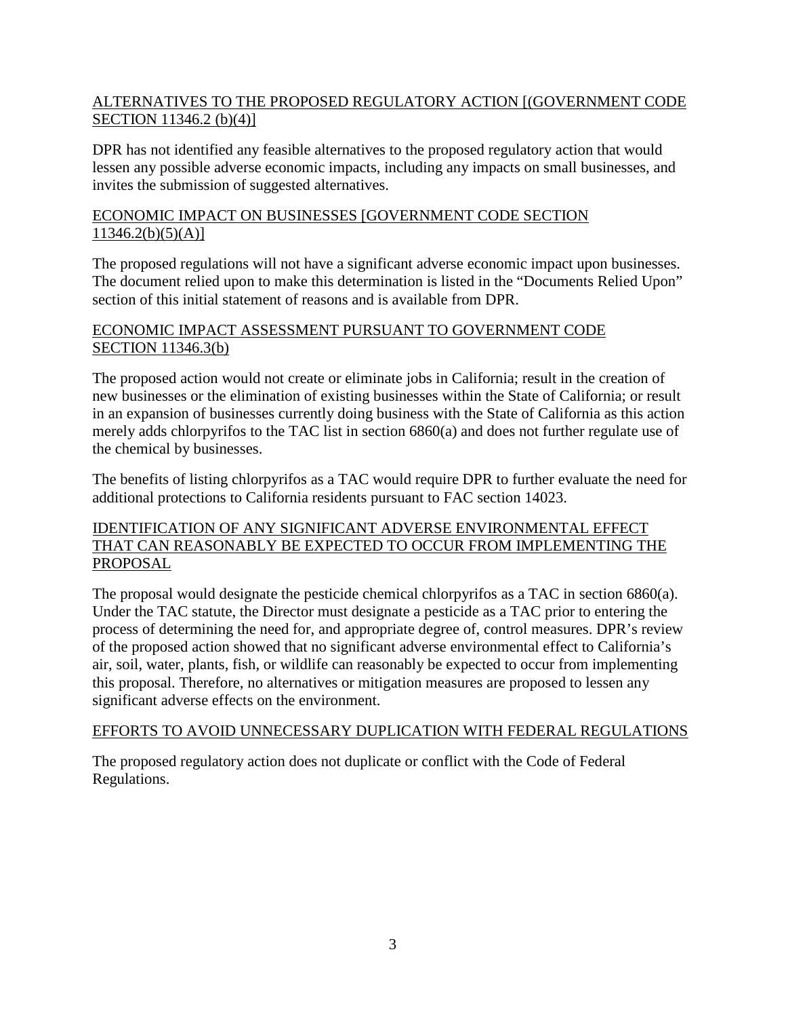## ALTERNATIVES TO THE PROPOSED REGULATORY ACTION [(GOVERNMENT CODE SECTION 11346.2 (b)(4)]

DPR has not identified any feasible alternatives to the proposed regulatory action that would lessen any possible adverse economic impacts, including any impacts on small businesses, and invites the submission of suggested alternatives.

#### ECONOMIC IMPACT ON BUSINESSES [GOVERNMENT CODE SECTION  $11346.2(b)(5)(A)$ ]

The proposed regulations will not have a significant adverse economic impact upon businesses. The document relied upon to make this determination is listed in the "Documents Relied Upon" section of this initial statement of reasons and is available from DPR.

#### ECONOMIC IMPACT ASSESSMENT PURSUANT TO GOVERNMENT CODE SECTION 11346.3(b)

The proposed action would not create or eliminate jobs in California; result in the creation of new businesses or the elimination of existing businesses within the State of California; or result in an expansion of businesses currently doing business with the State of California as this action merely adds chlorpyrifos to the TAC list in section 6860(a) and does not further regulate use of the chemical by businesses.

The benefits of listing chlorpyrifos as a TAC would require DPR to further evaluate the need for additional protections to California residents pursuant to FAC section 14023.

## IDENTIFICATION OF ANY SIGNIFICANT ADVERSE ENVIRONMENTAL EFFECT THAT CAN REASONABLY BE EXPECTED TO OCCUR FROM IMPLEMENTING THE PROPOSAL

The proposal would designate the pesticide chemical chlorpyrifos as a TAC in section 6860(a). Under the TAC statute, the Director must designate a pesticide as a TAC prior to entering the process of determining the need for, and appropriate degree of, control measures. DPR's review of the proposed action showed that no significant adverse environmental effect to California's air, soil, water, plants, fish, or wildlife can reasonably be expected to occur from implementing this proposal. Therefore, no alternatives or mitigation measures are proposed to lessen any significant adverse effects on the environment.

#### EFFORTS TO AVOID UNNECESSARY DUPLICATION WITH FEDERAL REGULATIONS

The proposed regulatory action does not duplicate or conflict with the Code of Federal Regulations.